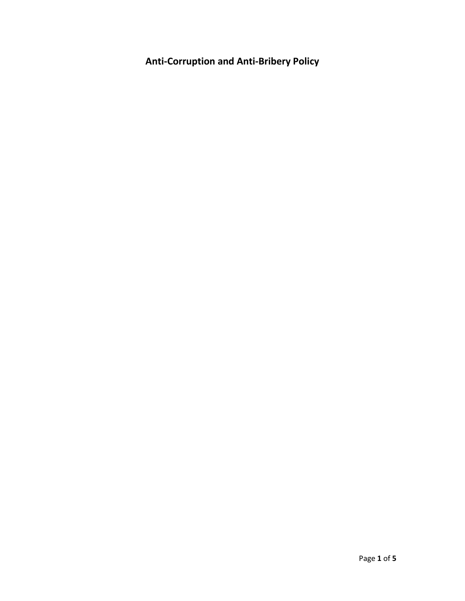**Anti-Corruption and Anti-Bribery Policy**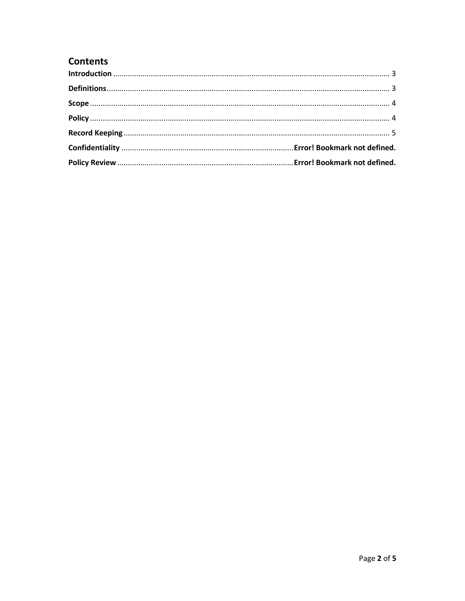# **Contents**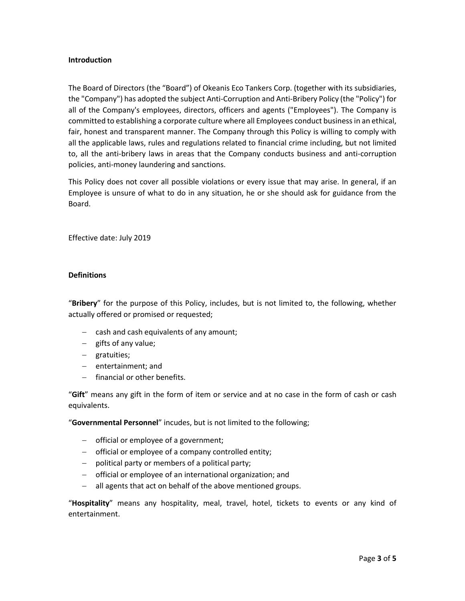### <span id="page-2-0"></span>**Introduction**

The Board of Directors (the "Board") of Okeanis Eco Tankers Corp. (together with its subsidiaries, the "Company") has adopted the subject Anti-Corruption and Anti-Bribery Policy (the "Policy") for all of the Company's employees, directors, officers and agents ("Employees"). The Company is committed to establishing a corporate culture where all Employees conduct business in an ethical, fair, honest and transparent manner. The Company through this Policy is willing to comply with all the applicable laws, rules and regulations related to financial crime including, but not limited to, all the anti-bribery laws in areas that the Company conducts business and anti-corruption policies, anti-money laundering and sanctions.

This Policy does not cover all possible violations or every issue that may arise. In general, if an Employee is unsure of what to do in any situation, he or she should ask for guidance from the Board.

Effective date: July 2019

## <span id="page-2-1"></span>**Definitions**

"**Bribery**" for the purpose of this Policy, includes, but is not limited to, the following, whether actually offered or promised or requested;

- $-$  cash and cash equivalents of any amount;
- $-$  gifts of any value;
- gratuities;
- $-$  entertainment; and
- $-$  financial or other benefits.

"**Gift**" means any gift in the form of item or service and at no case in the form of cash or cash equivalents.

"**Governmental Personnel**" incudes, but is not limited to the following;

- $-$  official or employee of a government;
- official or employee of a company controlled entity;
- $-$  political party or members of a political party;
- official or employee of an international organization; and
- all agents that act on behalf of the above mentioned groups.

"**Hospitality**" means any hospitality, meal, travel, hotel, tickets to events or any kind of entertainment.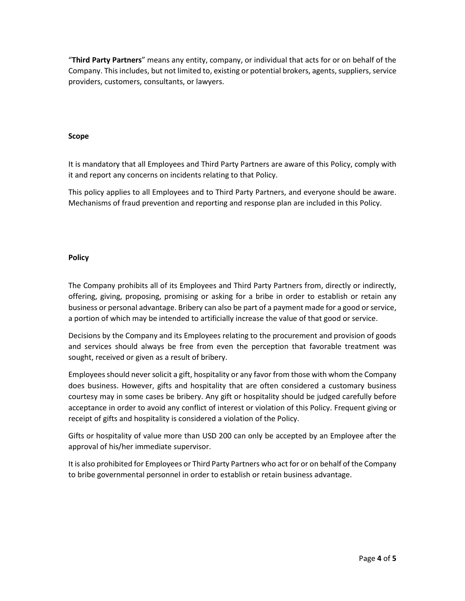"**Third Party Partners**" means any entity, company, or individual that acts for or on behalf of the Company. This includes, but not limited to, existing or potential brokers, agents, suppliers, service providers, customers, consultants, or lawyers.

## <span id="page-3-0"></span>**Scope**

It is mandatory that all Employees and Third Party Partners are aware of this Policy, comply with it and report any concerns on incidents relating to that Policy.

This policy applies to all Employees and to Third Party Partners, and everyone should be aware. Mechanisms of fraud prevention and reporting and response plan are included in this Policy.

## <span id="page-3-1"></span>**Policy**

The Company prohibits all of its Employees and Third Party Partners from, directly or indirectly, offering, giving, proposing, promising or asking for a bribe in order to establish or retain any business or personal advantage. Bribery can also be part of a payment made for a good or service, a portion of which may be intended to artificially increase the value of that good or service.

Decisions by the Company and its Employees relating to the procurement and provision of goods and services should always be free from even the perception that favorable treatment was sought, received or given as a result of bribery.

Employees should never solicit a gift, hospitality or any favor from those with whom the Company does business. However, gifts and hospitality that are often considered a customary business courtesy may in some cases be bribery. Any gift or hospitality should be judged carefully before acceptance in order to avoid any conflict of interest or violation of this Policy. Frequent giving or receipt of gifts and hospitality is considered a violation of the Policy.

Gifts or hospitality of value more than USD 200 can only be accepted by an Employee after the approval of his/her immediate supervisor.

It is also prohibited for Employees or Third Party Partners who act for or on behalf of the Company to bribe governmental personnel in order to establish or retain business advantage.